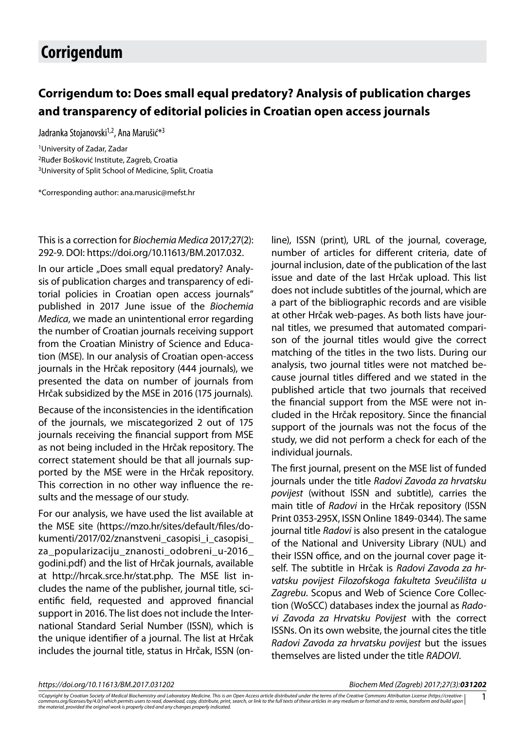## **Corrigendum**

## **Corrigendum to: Does small equal predatory? Analysis of publication charges and transparency of editorial policies in Croatian open access journals**

Jadranka Stojanovski<sup>1,2</sup>, Ana Marušić<sup>\*3</sup>

1University of Zadar, Zadar 2Ruđer Bošković Institute, Zagreb, Croatia 3University of Split School of Medicine, Split, Croatia

\*Corresponding author: ana.marusic@mefst.hr

## This is a correction for *Biochemia Medica* 2017;27(2): 292-9. DOI: https://doi.org/10.11613/BM.2017.032.

In our article "Does small equal predatory? Analysis of publication charges and transparency of editorial policies in Croatian open access journals" published in 2017 June issue of the *Biochemia Medica*, we made an unintentional error regarding the number of Croatian journals receiving support from the Croatian Ministry of Science and Education (MSE). In our analysis of Croatian open-access journals in the Hrčak repository (444 journals), we presented the data on number of journals from Hrčak subsidized by the MSE in 2016 (175 journals).

Because of the inconsistencies in the identification of the journals, we miscategorized 2 out of 175 journals receiving the financial support from MSE as not being included in the Hrčak repository. The correct statement should be that all journals supported by the MSE were in the Hrčak repository. This correction in no other way influence the results and the message of our study.

For our analysis, we have used the list available at the MSE site (https://mzo.hr/sites/default/files/dokumenti/2017/02/znanstveni\_casopisi\_i\_casopisi\_ za\_popularizaciju\_znanosti\_odobreni\_u-2016\_ godini.pdf) and the list of Hrčak journals, available at http://hrcak.srce.hr/stat.php. The MSE list includes the name of the publisher, journal title, scientific field, requested and approved financial support in 2016. The list does not include the International Standard Serial Number (ISSN), which is the unique identifier of a journal. The list at Hrčak includes the journal title, status in Hrčak, ISSN (online), ISSN (print), URL of the journal, coverage, number of articles for different criteria, date of journal inclusion, date of the publication of the last issue and date of the last Hrčak upload. This list does not include subtitles of the journal, which are a part of the bibliographic records and are visible at other Hrčak web-pages. As both lists have journal titles, we presumed that automated comparison of the journal titles would give the correct matching of the titles in the two lists. During our analysis, two journal titles were not matched because journal titles differed and we stated in the published article that two journals that received the financial support from the MSE were not included in the Hrčak repository. Since the financial support of the journals was not the focus of the study, we did not perform a check for each of the individual journals.

The first journal, present on the MSE list of funded journals under the title *Radovi Zavoda za hrvatsku povijest* (without ISSN and subtitle), carries the main title of *Radovi* in the Hrčak repository (ISSN Print 0353-295X, ISSN Online 1849-0344). The same journal title *Radovi* is also present in the catalogue of the National and University Library (NUL) and their ISSN office, and on the journal cover page itself. The subtitle in Hrčak is *Radovi Zavoda za hrvatsku povijest Filozofskoga fakulteta Sveučilišta u Zagrebu*. Scopus and Web of Science Core Collection (WoSCC) databases index the journal as *Radovi Zavoda za Hrvatsku Povijest* with the correct ISSNs. On its own website, the journal cites the title *Radovi Zavoda za hrvatsku povijest* but the issues themselves are listed under the title *RADOVI*.

*https://doi.org/10.11613/BM.2017.031202 Biochem Med (Zagreb) 2017;27(3):031202*